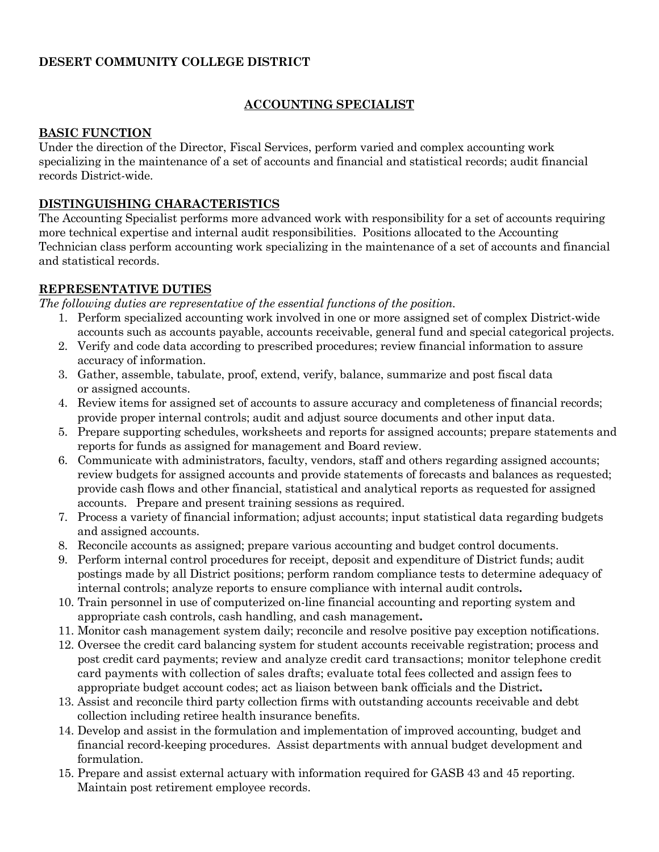### **DESERT COMMUNITY COLLEGE DISTRICT**

### **ACCOUNTING SPECIALIST**

#### **BASIC FUNCTION**

Under the direction of the Director, Fiscal Services, perform varied and complex accounting work specializing in the maintenance of a set of accounts and financial and statistical records; audit financial records District-wide.

#### **DISTINGUISHING CHARACTERISTICS**

The Accounting Specialist performs more advanced work with responsibility for a set of accounts requiring more technical expertise and internal audit responsibilities. Positions allocated to the Accounting Technician class perform accounting work specializing in the maintenance of a set of accounts and financial and statistical records.

#### **REPRESENTATIVE DUTIES**

*The following duties are representative of the essential functions of the position.* 

- 1. Perform specialized accounting work involved in one or more assigned set of complex District-wide accounts such as accounts payable, accounts receivable, general fund and special categorical projects.
- 2. Verify and code data according to prescribed procedures; review financial information to assure accuracy of information.
- 3. Gather, assemble, tabulate, proof, extend, verify, balance, summarize and post fiscal data or assigned accounts.
- 4. Review items for assigned set of accounts to assure accuracy and completeness of financial records; provide proper internal controls; audit and adjust source documents and other input data.
- 5. Prepare supporting schedules, worksheets and reports for assigned accounts; prepare statements and reports for funds as assigned for management and Board review.
- 6. Communicate with administrators, faculty, vendors, staff and others regarding assigned accounts; review budgets for assigned accounts and provide statements of forecasts and balances as requested; provide cash flows and other financial, statistical and analytical reports as requested for assigned accounts. Prepare and present training sessions as required.
- 7. Process a variety of financial information; adjust accounts; input statistical data regarding budgets and assigned accounts.
- 8. Reconcile accounts as assigned; prepare various accounting and budget control documents.
- 9. Perform internal control procedures for receipt, deposit and expenditure of District funds; audit postings made by all District positions; perform random compliance tests to determine adequacy of internal controls; analyze reports to ensure compliance with internal audit controls**.**
- 10. Train personnel in use of computerized on-line financial accounting and reporting system and appropriate cash controls, cash handling, and cash management**.**
- 11. Monitor cash management system daily; reconcile and resolve positive pay exception notifications.
- 12. Oversee the credit card balancing system for student accounts receivable registration; process and post credit card payments; review and analyze credit card transactions; monitor telephone credit card payments with collection of sales drafts; evaluate total fees collected and assign fees to appropriate budget account codes; act as liaison between bank officials and the District**.**
- 13. Assist and reconcile third party collection firms with outstanding accounts receivable and debt collection including retiree health insurance benefits.
- 14. Develop and assist in the formulation and implementation of improved accounting, budget and financial record-keeping procedures. Assist departments with annual budget development and formulation.
- 15. Prepare and assist external actuary with information required for GASB 43 and 45 reporting. Maintain post retirement employee records.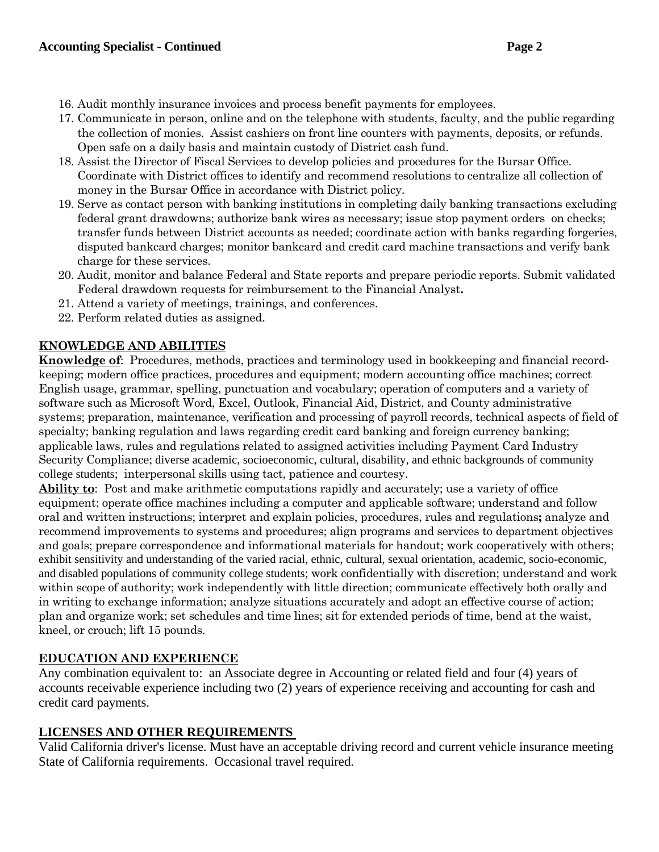- 16. Audit monthly insurance invoices and process benefit payments for employees.
- 17. Communicate in person, online and on the telephone with students, faculty, and the public regarding the collection of monies. Assist cashiers on front line counters with payments, deposits, or refunds. Open safe on a daily basis and maintain custody of District cash fund.
- 18. Assist the Director of Fiscal Services to develop policies and procedures for the Bursar Office. Coordinate with District offices to identify and recommend resolutions to centralize all collection of money in the Bursar Office in accordance with District policy.
- 19. Serve as contact person with banking institutions in completing daily banking transactions excluding federal grant drawdowns; authorize bank wires as necessary; issue stop payment orders on checks; transfer funds between District accounts as needed; coordinate action with banks regarding forgeries, disputed bankcard charges; monitor bankcard and credit card machine transactions and verify bank charge for these services.
- 20. Audit, monitor and balance Federal and State reports and prepare periodic reports. Submit validated Federal drawdown requests for reimbursement to the Financial Analyst**.**
- 21. Attend a variety of meetings, trainings, and conferences.
- 22. Perform related duties as assigned.

## **KNOWLEDGE AND ABILITIES**

**Knowledge of**: Procedures, methods, practices and terminology used in bookkeeping and financial recordkeeping; modern office practices, procedures and equipment; modern accounting office machines; correct English usage, grammar, spelling, punctuation and vocabulary; operation of computers and a variety of software such as Microsoft Word, Excel, Outlook, Financial Aid, District, and County administrative systems; preparation, maintenance, verification and processing of payroll records, technical aspects of field of specialty; banking regulation and laws regarding credit card banking and foreign currency banking; applicable laws, rules and regulations related to assigned activities including Payment Card Industry Security Compliance; diverse academic, socioeconomic, cultural, disability, and ethnic backgrounds of community college students; interpersonal skills using tact, patience and courtesy.

**Ability to**: Post and make arithmetic computations rapidly and accurately; use a variety of office equipment; operate office machines including a computer and applicable software; understand and follow oral and written instructions; interpret and explain policies, procedures, rules and regulations**;** analyze and recommend improvements to systems and procedures; align programs and services to department objectives and goals; prepare correspondence and informational materials for handout; work cooperatively with others; exhibit sensitivity and understanding of the varied racial, ethnic, cultural, sexual orientation, academic, socio-economic, and disabled populations of community college students; work confidentially with discretion; understand and work within scope of authority; work independently with little direction; communicate effectively both orally and in writing to exchange information; analyze situations accurately and adopt an effective course of action; plan and organize work; set schedules and time lines; sit for extended periods of time, bend at the waist, kneel, or crouch; lift 15 pounds.

## **EDUCATION AND EXPERIENCE**

Any combination equivalent to: an Associate degree in Accounting or related field and four (4) years of accounts receivable experience including two (2) years of experience receiving and accounting for cash and credit card payments.

## **LICENSES AND OTHER REQUIREMENTS**

Valid California driver's license. Must have an acceptable driving record and current vehicle insurance meeting State of California requirements. Occasional travel required.